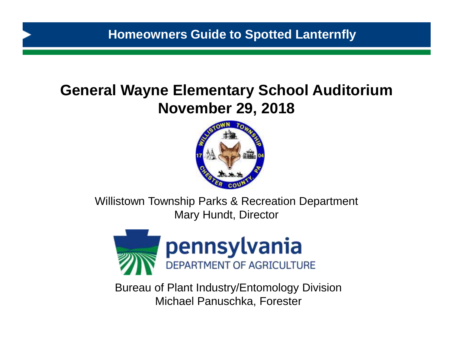# **General Wayne Elementary School Auditorium November 29, 2018**



Willistown Township Parks & Recreation Department Mary Hundt, Director



Bureau of Plant Industry/Entomology Division Michael Panuschka, Forester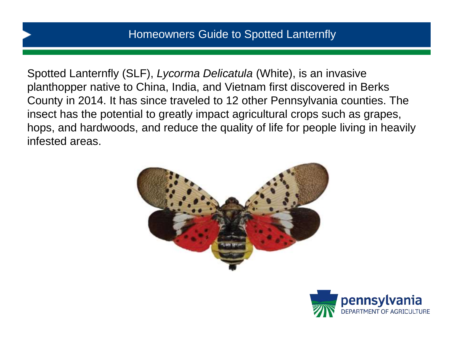Spotted Lanternfly (SLF), *Lycorma Delicatula* (White), is an invasive planthopper native to China, India, and Vietnam first discovered in Berks County in 2014. It has since traveled to 12 other Pennsylvania counties. The insect has the potential to greatly impact agricultural crops such as grapes, hops, and hardwoods, and reduce the quality of life for people living in heavily infested areas.



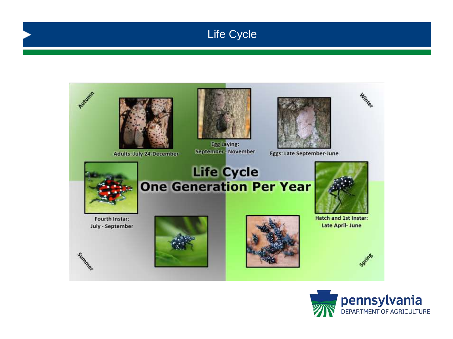## Life Cycle



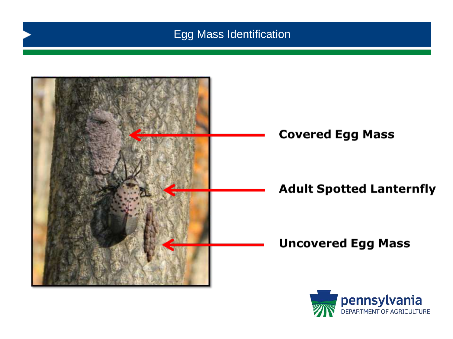## Egg Mass Identification



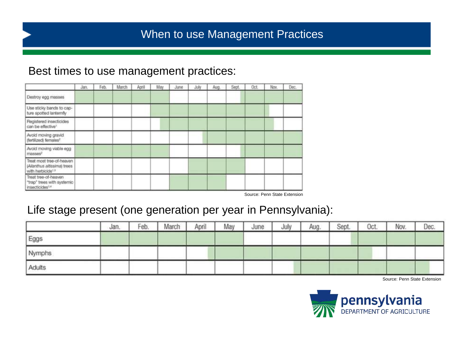## When to use Management Practices

#### Best times to use management practices:

|                                                                                           | Jan. | Feb. | March | April | May | June | July | Aug. | Sept. | Oct. | Nov. | Dec. |
|-------------------------------------------------------------------------------------------|------|------|-------|-------|-----|------|------|------|-------|------|------|------|
| Destroy egg masses                                                                        |      |      |       |       |     |      |      |      |       |      |      |      |
| Use sticky bands to cap-<br>ture spotted lanternfly                                       |      |      |       |       |     |      |      |      |       |      |      |      |
| Registered insecticides<br>can be effective!                                              |      |      |       |       |     |      |      |      |       |      |      |      |
| Avoid moving gravid<br>(fertilized) fernales <sup>2</sup>                                 |      |      |       |       |     |      |      |      |       |      |      |      |
| Avoid moving viable egg<br>masses <sup>2</sup>                                            |      |      |       |       |     |      |      |      |       |      |      |      |
| Treat most tree-of-heaven<br>(Allanthus altissima) trees<br>with herbicide <sup>1.1</sup> |      |      |       |       |     |      |      |      |       |      |      |      |
| Treat tree-of-heaven<br>"trap" trees with systemic<br>Insecticides <sup>1,4</sup>         |      |      |       |       |     |      |      |      |       |      |      |      |

Source: Penn State Extension

### Life stage present (one generation per year in Pennsylvania):

|        | Jan. | Feb. | March | April | May | June | July | Aug. | Sept. | Oct. | Nov. | Dec. |
|--------|------|------|-------|-------|-----|------|------|------|-------|------|------|------|
| Eggs   |      |      |       |       |     |      |      |      |       |      |      |      |
| Nymphs |      |      |       |       |     |      |      |      |       |      |      |      |
| Adults |      |      |       |       |     |      |      |      |       |      |      |      |

Source: Penn State Extension

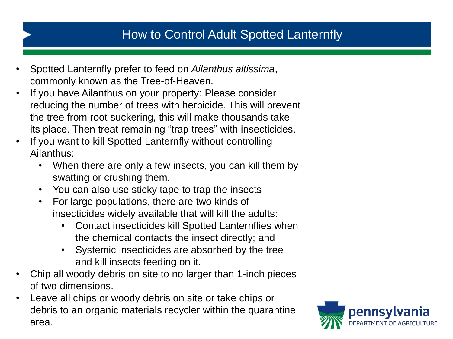## How to Control Adult Spotted Lanternfly

- Spotted Lanternfly prefer to feed on *Ailanthus altissima*, commonly known as the Tree-of-Heaven.
- If you have Ailanthus on your property: Please consider reducing the number of trees with herbicide. This will prevent the tree from root suckering, this will make thousands take its place. Then treat remaining "trap trees" with insecticides.
- If you want to kill Spotted Lanternfly without controlling Ailanthus:
	- When there are only a few insects, you can kill them by swatting or crushing them.
	- You can also use sticky tape to trap the insects
	- For large populations, there are two kinds of insecticides widely available that will kill the adults:
		- Contact insecticides kill Spotted Lanternflies when the chemical contacts the insect directly; and
		- Systemic insecticides are absorbed by the tree and kill insects feeding on it.
- Chip all woody debris on site to no larger than 1-inch pieces of two dimensions.
- Leave all chips or woody debris on site or take chips or debris to an organic materials recycler within the quarantine area.

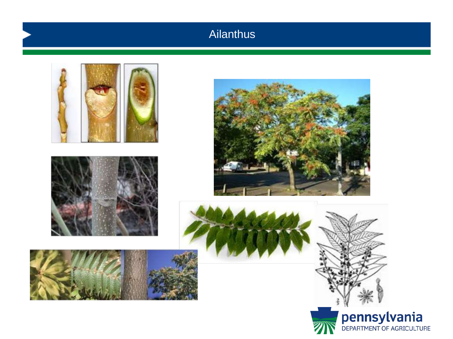## Ailanthus

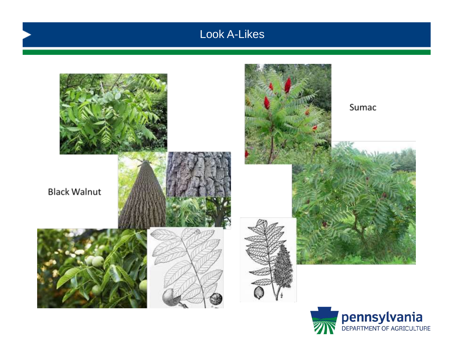## Look A-Likes



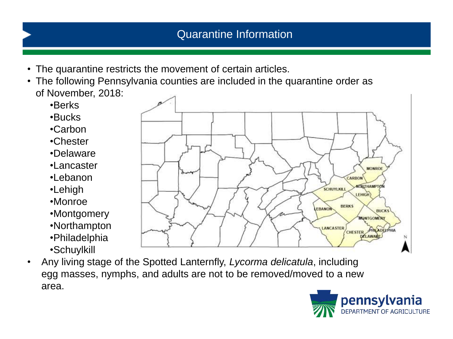- The quarantine restricts the movement of certain articles.
- The following Pennsylvania counties are included in the quarantine order as of November, 2018:
	- •Berks
	- •Bucks
	- •Carbon
	- •Chester
	- •Delaware
	- •Lancaster
	- •Lebanon
	- •Lehigh
	- •Monroe
	- •Montgomery
	- •Northampton
	- •Philadelphia
	- •Schuylkill
- Any living stage of the Spotted Lanternfly, *Lycorma delicatula*, including egg masses, nymphs, and adults are not to be removed/moved to a new area.



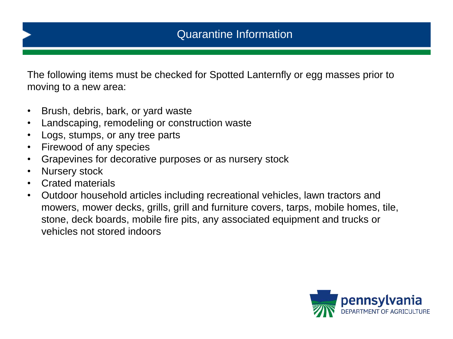The following items must be checked for Spotted Lanternfly or egg masses prior to moving to a new area:

- Brush, debris, bark, or yard waste
- Landscaping, remodeling or construction waste
- Logs, stumps, or any tree parts
- Firewood of any species
- Grapevines for decorative purposes or as nursery stock
- Nursery stock
- Crated materials
- Outdoor household articles including recreational vehicles, lawn tractors and mowers, mower decks, grills, grill and furniture covers, tarps, mobile homes, tile, stone, deck boards, mobile fire pits, any associated equipment and trucks or vehicles not stored indoors

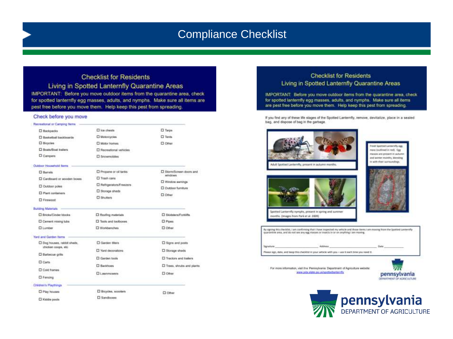### Compliance Checklist

#### **Checklist for Residents**

Living in Spotted Lanternfly Quarantine Areas IMPORTANT: Before you move outdoor items from the quarantine area, check for spotted lanternfly egg masses, adults, and nymphs. Make sure all items are pest free before you move them. Help keep this pest from spreading.

#### Check before you move

| Recreational or Camping Netra                    |                          |                                                               |  |  |  |  |
|--------------------------------------------------|--------------------------|---------------------------------------------------------------|--|--|--|--|
| <b>II</b> Backpacks                              | El lon chests            | <b>D</b> Tarps                                                |  |  |  |  |
| <b>D</b> Basketball backboards                   | D Motorcycles            | <b>D</b> Tents                                                |  |  |  |  |
| <b>D</b> Bicycles                                | Notor homes              | <b>D</b> Other                                                |  |  |  |  |
| <b>D</b> Boats/Boat trailers                     | El Recreational vehicles |                                                               |  |  |  |  |
| D Campers                                        | <b>D</b> Soowmobiles     |                                                               |  |  |  |  |
| <b>Clubboot Hexageboold Barrow</b>               |                          |                                                               |  |  |  |  |
| <b>D</b> Barrels                                 | D Propane or oil tanks   | <b>D</b> Storm/Screen doors and<br>windows and the            |  |  |  |  |
| Cardboard or wooden boxes                        | Trash cane               |                                                               |  |  |  |  |
| D Outdoor poles                                  | C Refrigerators/Freezers | El Window awnings                                             |  |  |  |  |
| El Plant containers                              | Storage sheds            | D Outdoor furniture<br><b>D</b> Other                         |  |  |  |  |
| D Firewood                                       | <b>D</b> Shutters        |                                                               |  |  |  |  |
| Building Materials                               |                          |                                                               |  |  |  |  |
| C Bricks/Cinder blocks                           | C Roofing materials      | El Skidstern/Forklifts                                        |  |  |  |  |
| Cement mixing tubs                               | Tools and bolboxes.      | <b>D</b> Pipes                                                |  |  |  |  |
| <b>Q Lumber</b>                                  | Workbenches              | <b>D</b> Other                                                |  |  |  |  |
| <b>Yard and Garden Rerns</b>                     |                          |                                                               |  |  |  |  |
| Dog houses, rabbit sheds.<br>chicken coops, etc. | C Garden titers          | <b>D</b> Signs and posts                                      |  |  |  |  |
| C Barbecue grits                                 | D. Yard decorations      | D Stonage sheds                                               |  |  |  |  |
|                                                  | C Gerden tools           | <b>El Tractors and trailers</b><br>D Trees, shrubs and plants |  |  |  |  |
| <b>Carts</b>                                     | <b>D</b> Backhoes        |                                                               |  |  |  |  |
| Cold hames                                       | <b>CILINATIONAIR</b>     | <b>D</b> Other                                                |  |  |  |  |
| <b>D</b> Fensing                                 |                          |                                                               |  |  |  |  |
| Children's Playthings                            |                          |                                                               |  |  |  |  |
| Flay houses                                      | D Bicycles, scoolars     | <b>CI</b> Other                                               |  |  |  |  |
| TI Ministra meseda                               | <b>D</b> Sandboxes       |                                                               |  |  |  |  |

#### **Checklist for Residents** Living in Spotted Lanternfly Quarantine Areas

IMPORTANT: Before you move outdoor items from the quarantine area, check for spotted lanternfly egg masses, adults, and nymphs. Make sure all items are pest free before you move them. Help keep this pest from spreading.

If you find any of these life stages of the Spotted Lantemfly, remove, devitalize, place in a sealed. bag, and dispose of bag in the garbage.



Trevit Spotted Lamornity egg rum instituti in red). Egg masses are present in autumn and winter months, blending with their burnwedings.



Spotted Lanternfly nymphs, present in spring and summer months. Omages from Park et al. 2009)

By signing this checklist, I am confirming that I have impected my vehicle and those items I am moving from the Spatted Lanovnity quarantine area, and do not see any egg masses or insects in or on anything I am moving Signature: Address Data Flexus sign, state, and keep this checklat in your vehicle with you - use it each time you need it.

For more information, visit the Pennsylvania Department of Agriculture website: www.pda.state.pa.us/spottedianterrify

![](_page_10_Picture_14.jpeg)

![](_page_10_Picture_15.jpeg)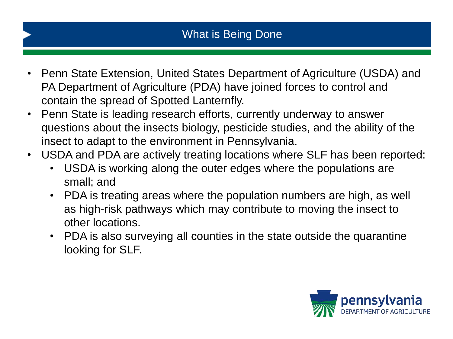- Penn State Extension, United States Department of Agriculture (USDA) and PA Department of Agriculture (PDA) have joined forces to control and contain the spread of Spotted Lanternfly.
- Penn State is leading research efforts, currently underway to answer questions about the insects biology, pesticide studies, and the ability of the insect to adapt to the environment in Pennsylvania.
- USDA and PDA are actively treating locations where SLF has been reported:
	- USDA is working along the outer edges where the populations are small; and
	- PDA is treating areas where the population numbers are high, as well as high-risk pathways which may contribute to moving the insect to other locations.
	- PDA is also surveying all counties in the state outside the quarantine looking for SLF.

![](_page_11_Picture_7.jpeg)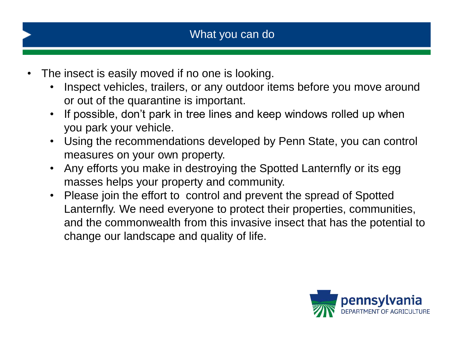- The insect is easily moved if no one is looking.
	- Inspect vehicles, trailers, or any outdoor items before you move around or out of the quarantine is important.
	- If possible, don't park in tree lines and keep windows rolled up when you park your vehicle.
	- Using the recommendations developed by Penn State, you can control measures on your own property.
	- Any efforts you make in destroying the Spotted Lanternfly or its egg masses helps your property and community.
	- Please join the effort to control and prevent the spread of Spotted Lanternfly. We need everyone to protect their properties, communities, and the commonwealth from this invasive insect that has the potential to change our landscape and quality of life.

![](_page_12_Picture_7.jpeg)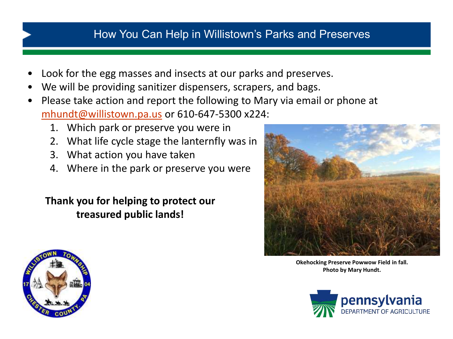### How You Can Help in Willistown's Parks and Preserves

- Look for the egg masses and insects at our parks and preserves.
- We will be providing sanitizer dispensers, scrapers, and bags.
- Please take action and report the following to Mary via email or phone at [mhundt@willistown.pa.us](mailto:mhundt@willistown.pa.us) or 610-647-5300 x224:
	- 1. Which park or preserve you were in
	- 2. What life cycle stage the lanternfly was in
	- 3. What action you have taken
	- 4. Where in the park or preserve you were

**Thank you for helping to protect our treasured public lands!**

![](_page_13_Picture_9.jpeg)

**Okehocking Preserve Powwow Field in fall. Photo by Mary Hundt.**

![](_page_13_Picture_11.jpeg)

![](_page_13_Picture_12.jpeg)